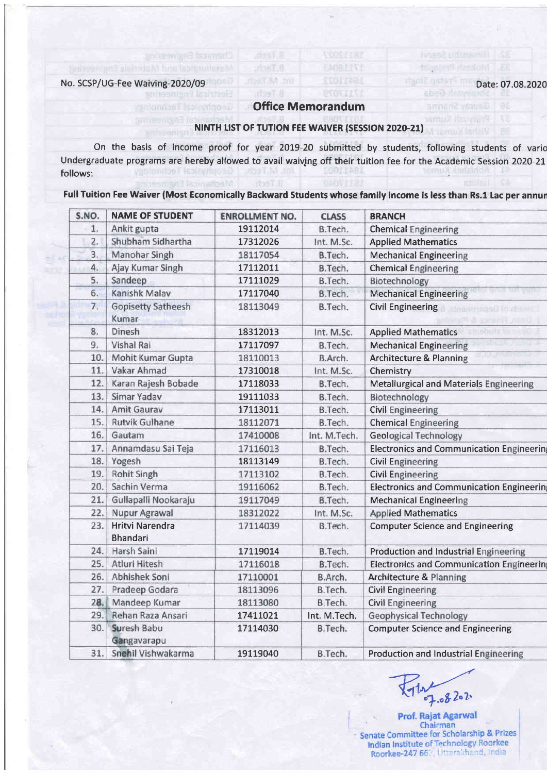33. Musslandarpati

Gautav Shame Pratyush Kuma

## No. SCSP/UG-Fee Waiving-2020/09 Date:07.08.2020

## Office Memorandum

EMPRESSE

## NINTH LIST OF TUTION FEE WAIVER (SESSION 2020-21)

 $r$ baT.8

On the basis of income proof for year 2019-20 submitted by students, following students of vario Undergraduate programs are hereby allowed to avail waiving off their tuition fee for the Academic Session 2020-21 follows: follows: Medianical Bright

Full Tuition Fee Waiver (Most Economically Backward Students whose family income is less than Rs.1 Lac per annun

| S.NO. | <b>NAME OF STUDENT</b>                    | <b>ENROLLMENT NO.</b> | <b>CLASS</b> | <b>BRANCH</b>                                    |  |
|-------|-------------------------------------------|-----------------------|--------------|--------------------------------------------------|--|
| 1.    | Ankit gupta                               | 19112014              | B.Tech.      | <b>Chemical Engineering</b>                      |  |
| 2.    | Shubham Sidhartha                         | 17312026              | Int. M.Sc.   | <b>Applied Mathematics</b>                       |  |
| 3.    | Manohar Singh                             | 18117054              | B.Tech.      | <b>Mechanical Engineering</b>                    |  |
| 4.    | Ajay Kumar Singh                          | 17112011              | B.Tech.      | <b>Chemical Engineering</b>                      |  |
| 5.    | Sandeep                                   | 17111029              | B.Tech.      | Biotechnology                                    |  |
| 6.    | Kanishk Malav                             | 17117040              | B.Tech.      | <b>Mechanical Engineering</b>                    |  |
| 7.    | <b>Gopisetty Satheesh</b><br>Kumar        | 18113049              | B.Tech.      | <b>Civil Engineering</b><br>Sheriff Debritiments |  |
| 8.    | Dinesh                                    | 18312013              | Int. M.Sc.   | <b>Applied Mathematics</b>                       |  |
| 9.    | <b>Vishal Rai</b>                         | 17117097              | B.Tech.      | <b>Mechanical Engineering</b>                    |  |
| 10.   | Mohit Kumar Gupta                         | 18110013              | B.Arch.      | <b>Architecture &amp; Planning</b>               |  |
| 11.   | Vakar Ahmad                               | 17310018              | Int. M.Sc.   | Chemistry                                        |  |
| 12.   | Karan Rajesh Bobade                       | 17118033              | B.Tech.      | <b>Metallurgical and Materials Engineering</b>   |  |
| 13.   | Simar Yadav                               | 19111033              | B.Tech.      | Biotechnology                                    |  |
| 14.   | Amit Gaurav                               | 17113011              | B.Tech.      | <b>Civil Engineering</b>                         |  |
| 15.   | <b>Rutvik Gulhane</b>                     | 18112071              | B.Tech.      | <b>Chemical Engineering</b>                      |  |
| 16.   | Gautam                                    | 17410008              | Int. M.Tech. | <b>Geological Technology</b>                     |  |
| 17.   | Annamdasu Sai Teja                        | 17116013              | B.Tech.      | <b>Electronics and Communication Engineerin</b>  |  |
| 18.   | Yogesh                                    | 18113149              | B.Tech.      | <b>Civil Engineering</b>                         |  |
| 19.   | <b>Rohit Singh</b>                        | 17113102              | B.Tech.      | <b>Civil Engineering</b>                         |  |
| 20.   | Sachin Verma                              | 19116062              | B.Tech.      | <b>Electronics and Communication Engineerin</b>  |  |
| 21.   | Gullapalli Nookaraju                      | 19117049              | B.Tech.      | <b>Mechanical Engineering</b>                    |  |
| 22.   | Nupur Agrawal                             | 18312022              | Int. M.Sc.   | <b>Applied Mathematics</b>                       |  |
| 23.   | <b>Hritvi Narendra</b><br><b>Bhandari</b> | 17114039              | B.Tech.      | <b>Computer Science and Engineering</b>          |  |
| 24.   | Harsh Saini                               | 17119014              | B.Tech.      | <b>Production and Industrial Engineering</b>     |  |
| 25.   | Atluri Hitesh                             | 17116018              | B.Tech.      | <b>Electronics and Communication Engineerin</b>  |  |
| 26.   | Abhishek Soni                             | 17110001              | B.Arch.      | <b>Architecture &amp; Planning</b>               |  |
| 27.   | Pradeep Godara                            | 18113096              | B.Tech.      | <b>Civil Engineering</b>                         |  |
| 28.   | Mandeep Kumar                             | 18113080              | B.Tech.      | <b>Civil Engineering</b>                         |  |
| 29.   | Rehan Raza Ansari                         | 17411021              | Int. M.Tech. | <b>Geophysical Technology</b>                    |  |
| 30.   | Suresh Babu<br>Gangavarapu                | 17114030              | B.Tech.      | <b>Computer Science and Engineering</b>          |  |
| 31.   | Snehil Vishwakarma                        | 19119040              | B.Tech.      | <b>Production and Industrial Engineering</b>     |  |

 $-2.8201$ 

Prof. Rajat Agarwal Chairman Senate Committee for Scholarship & Prizes Indian Institute of Technology Roorkee<br>Roorkee-247 66 / Utterakhand, India